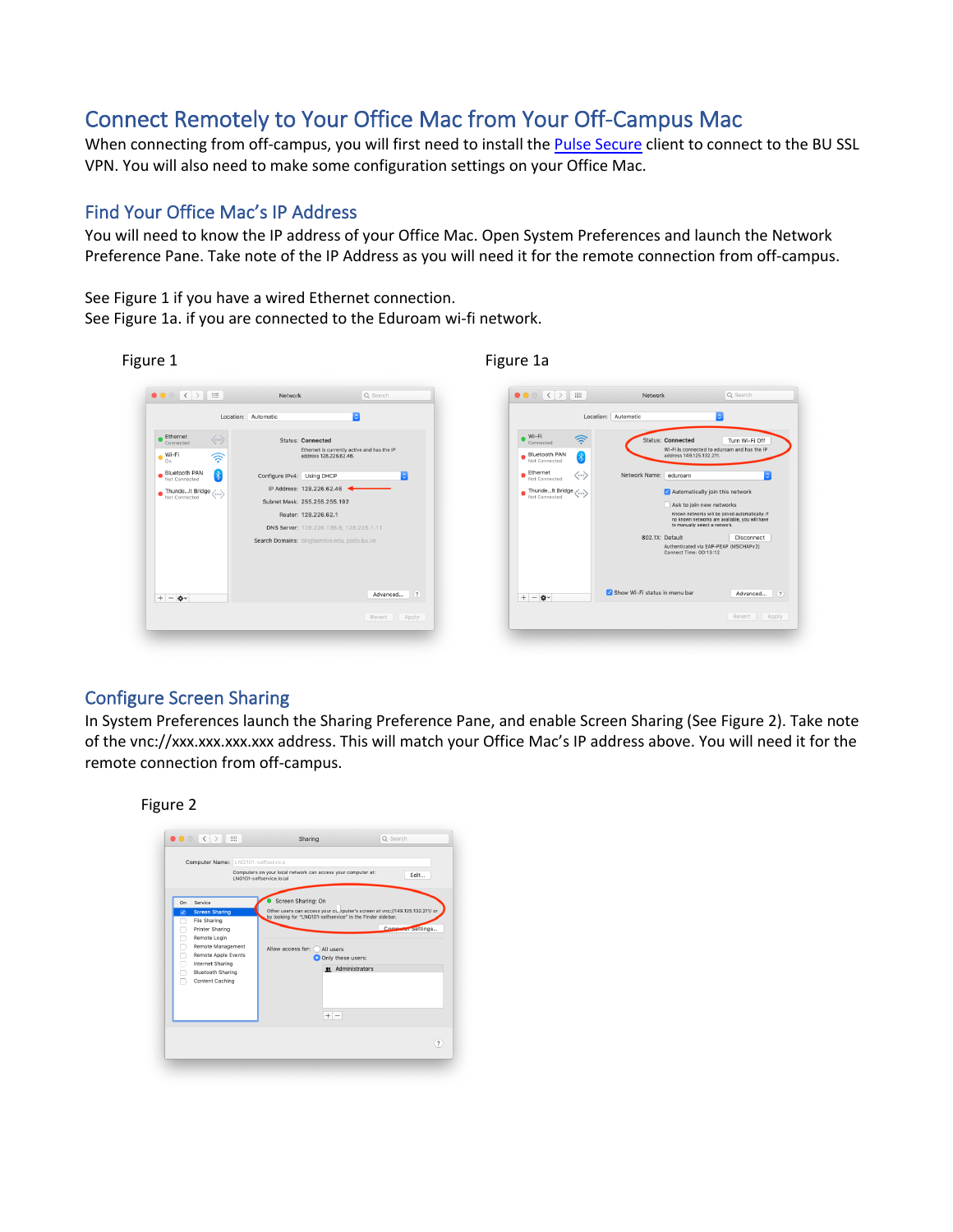# Connect Remotely to Your Office Mac from Your Off-Campus Mac

When connecting from off-campus, you will first need to install the **Pulse Secure** client to connect to the BU SSL VPN. You will also need to make some configuration settings on your Office Mac.

# Find Your Office Mac's IP Address

You will need to know the IP address of your Office Mac. Open System Preferences and launch the Network Preference Pane. Take note of the IP Address as you will need it for the remote connection from off-campus.

 $Q$  Se

Turn Wi-Fi Off

Ы

 $\blacksquare$ 

Ask to join new networks

Known networks will be joined automatically. If<br>no known networks are available, you will have<br>to manually select a network.

Authenticated via EAP-PEAP (MSCHAPv2)<br>Connect Time: 00:13:12

 $_{\text{Dis}}$ 

Advanced... (?)

Revert | Apply

See Figure 1 if you have a wired Ethernet connection. See Figure 1a. if you are connected to the Eduroam wi-fi network.



## Configure Screen Sharing

In System Preferences launch the Sharing Preference Pane, and enable Screen Sharing (See Figure 2). Take note of the vnc://xxx.xxx.xxx.xxx address. This will match your Office Mac's IP address above. You will need it for the remote connection from off-campus.



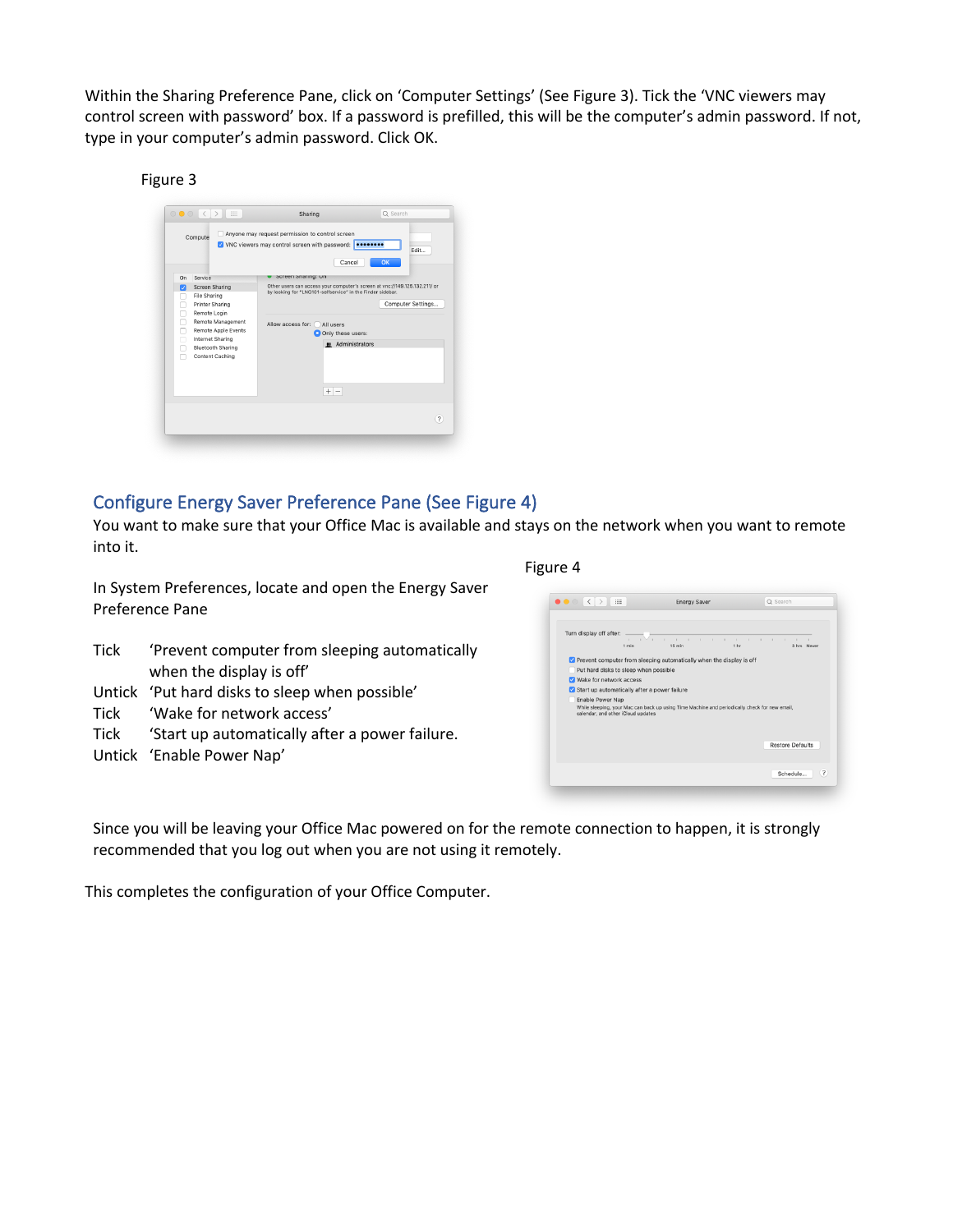Within the Sharing Preference Pane, click on 'Computer Settings' (See Figure 3). Tick the 'VNC viewers may control screen with password' box. If a password is prefilled, this will be the computer's admin password. If not, type in your computer's admin password. Click OK.

#### Figure 3

|                  |                                                                                                                                                                | V VNC viewers may control screen with password: <b></b><br>Cancel                  | Fdit<br>OK                                                                 |
|------------------|----------------------------------------------------------------------------------------------------------------------------------------------------------------|------------------------------------------------------------------------------------|----------------------------------------------------------------------------|
| On<br>☑          | Service<br><b>Screen Sharing</b>                                                                                                                               | Screen Sharing: Un<br>by looking for "LNG101-selfservice" in the Finder sidebar.   | Other users can access your computer's screen at ync://149.125.132.211/ or |
| П<br>п<br>п<br>n | File Sharing<br>Printer Sharing<br>Remote Login<br>Remote Management<br>Remote Apple Events<br>Internet Sharing<br><b>Bluetooth Sharing</b><br>Content Caching | Allow access for:<br>All users<br>O Only these users:<br># Administrators<br>$+ -$ | Computer Settings                                                          |

### Configure Energy Saver Preference Pane (See Figure 4)

You want to make sure that your Office Mac is available and stays on the network when you want to remote into it.

In System Preferences, locate and open the Energy Saver Preference Pane

- Tick 'Prevent computer from sleeping automatically when the display is off'
- Untick 'Put hard disks to sleep when possible'
- Tick 'Wake for network access'
- Tick 'Start up automatically after a power failure.
- Untick 'Enable Power Nap'

#### Figure 4



Since you will be leaving your Office Mac powered on for the remote connection to happen, it is strongly recommended that you log out when you are not using it remotely.

This completes the configuration of your Office Computer.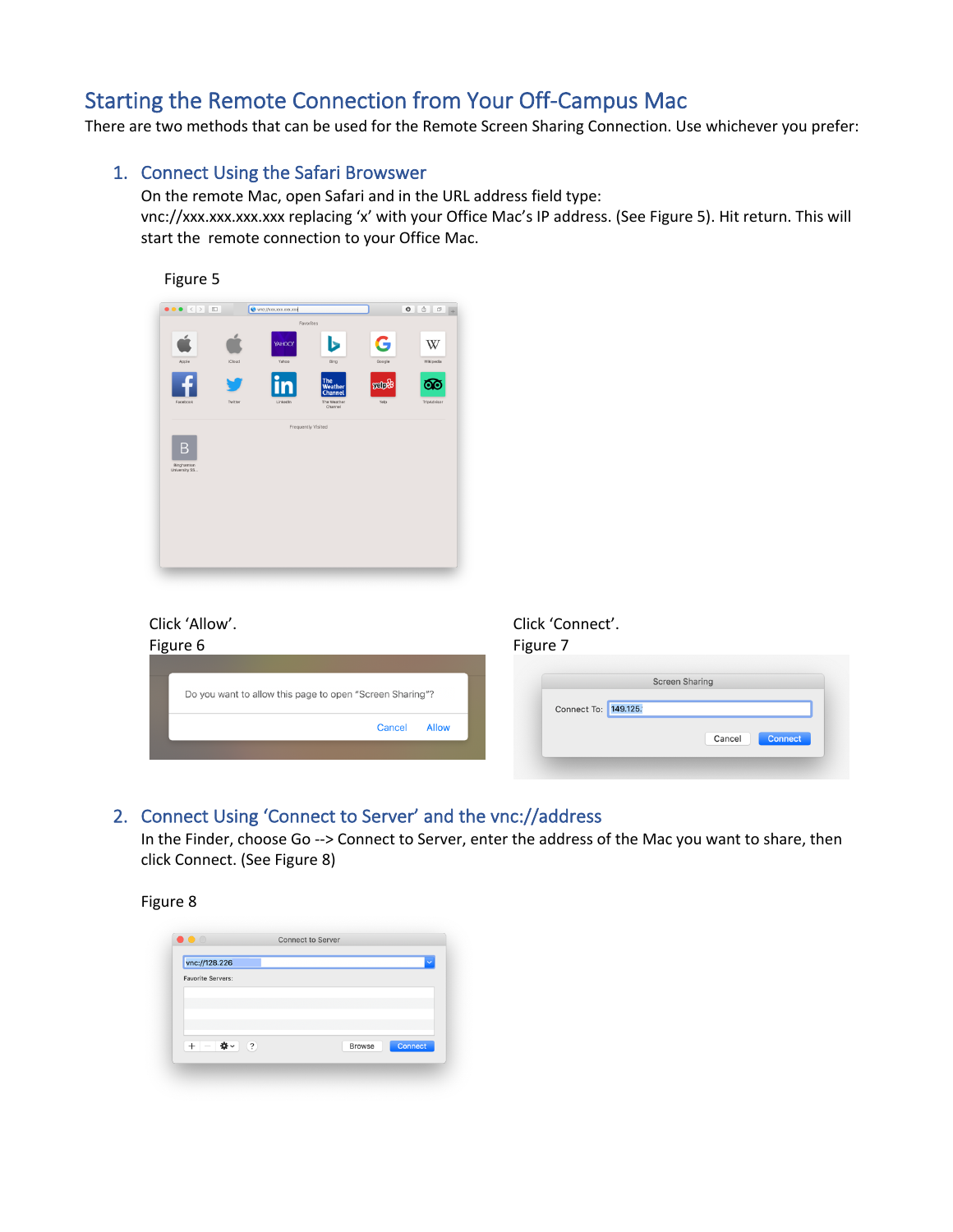# Starting the Remote Connection from Your Off-Campus Mac

There are two methods that can be used for the Remote Screen Sharing Connection. Use whichever you prefer:

### 1. Connect Using the Safari Browswer

On the remote Mac, open Safari and in the URL address field type: vnc://xxx.xxx.xxx.xxx replacing 'x' with your Office Mac's IP address. (See Figure 5). Hit return. This will start the remote connection to your Office Mac.



# Click 'Allow'.

| Figure 6                                                 | Figure 7                                      |
|----------------------------------------------------------|-----------------------------------------------|
| Do you want to allow this page to open "Screen Sharing"? | <b>Screen Sharing</b><br>Connect To: 149.125. |
| <b>Allow</b><br>Cancel                                   | Cancel<br>Connect                             |

Click 'Connect'.

### 2. Connect Using 'Connect to Server' and the vnc://address

In the Finder, choose Go --> Connect to Server, enter the address of the Mac you want to share, then click Connect. (See Figure 8)

#### Figure 8

| vnc://128.226                   |                          |
|---------------------------------|--------------------------|
|                                 |                          |
| <b>Favorite Servers:</b>        |                          |
|                                 |                          |
|                                 |                          |
|                                 |                          |
|                                 |                          |
|                                 |                          |
| (2)<br> #⊁∼<br>$\div$<br>$\sim$ | Connect<br><b>Browse</b> |
|                                 |                          |